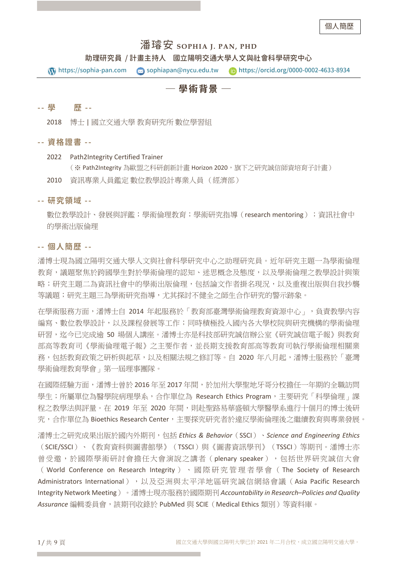個人簡歷

# 潘璿安 **SOPHIA J. PAN, PHD**

### 助理研究員 / 計畫主持人 國立陽明交通大學人文與社會科學研究中心

 $\binom{1}{10}$  https://sophia-pan.com sophiapan@nycu.edu.tw in https://orcid.org/0000-0002-4633-8934

## $-$  學術背景  $-$

### -- 學 歷 --

2018 博士 | 國立交通大學 教育研究所 數位學習組

### -- 資格證書 --

2022 Path2Integrity Certified Trainer

(※ Path2Integrity 為歐盟之科研創新計畫 Horizon 2020,旗下之研究誠信師資培育子計畫)

2010資訊專業人員鑑定 數位教學設計專業人員 (經濟部)

### -- 研究領域 --

數位教學設計、發展與評鑑;學術倫理教育;學術研究指導(research mentoring);資訊社會中 的學術出版倫理

### -- 個人簡歷 --

潘博士現為國立陽明交通大學人文與社會科學研究中心之助理研究員。近年研究主題一為學術倫理 教育,議題聚焦於跨國學生對於學術倫理的認知、迷思概念及態度,以及學術倫理之教學設計與策 略;研究主題二為資訊社會中的學術出版倫理,包括論文作者掛名現況,以及重複出版與自我抄襲 等議題;研究主題三為學術研究指導,尤其探討不健全之師生合作研究的警示跡象。

在學術服務方面,潘博士自 2014 年起服務於「教育部臺灣學術倫理教育資源中心」,負責教學內容 編寫、數位教學設計,以及課程發展等工作;同時積極投入國內各大學校院與研究機構的學術倫理 研習,这今已完成鍮 50 場個人講座。潘博士亦是科技部研究誠信辦公室《研究誠信電子報》與教育 部高等教育司《學術倫理電子報》之主要作者,並長期支援教育部高等教育司執行學術倫理相關業 務, 包括教育政策之研析與起草, 以及相關法規之修訂等。自 2020 年八月起,潘博士服務於「臺灣 學術倫理教育學會」第一屆理事團隊。

在國際經驗方面,潘博士曾於 2016 年至 2017 年間,於加州大學聖地牙哥分校擔任一年期的全職訪問 學生;所屬單位為醫學院病理學系,合作單位為 Research Ethics Program,主要研究「科學倫理」課 程之教學法與評量。在 2019 年至 2020 年間,則赴聖路易華盛頓大學醫學系進行十個月的博十後研 究,合作單位為 Bioethics Research Center,主要探究研究者於違反學術倫理後之繼續教育與專業發展。

潘博士之研究成果出版於國內外期刊,包括 *Ethics & Behavior*(SSCI)、*Science and Engineering Ethics* (SCIE/SSCI)、《教育資料與圖書館學》(TSSCI)與《圖書資訊學刊》(TSSCI)等期刊。潘博士亦 曾受邀,於國際學術研討會擔任大會演說之講者(plenary speaker),包括世界研究誠信大會 ( World Conference on Research Integrity ) 、 國際研究 管 理者學會( The Society of Research Administrators International), 以及亞洲與太平洋地區研究誠信網絡會議 (Asia Pacific Research Integrity Network Meeting)。潘博士現亦服務於國際期刊 *Accountability in Research*–*Policies and Quality Assurance* 編輯委員會,該期刊收錄於 PubMed 與 SCIE(Medical Ethics 類別)等資料庫。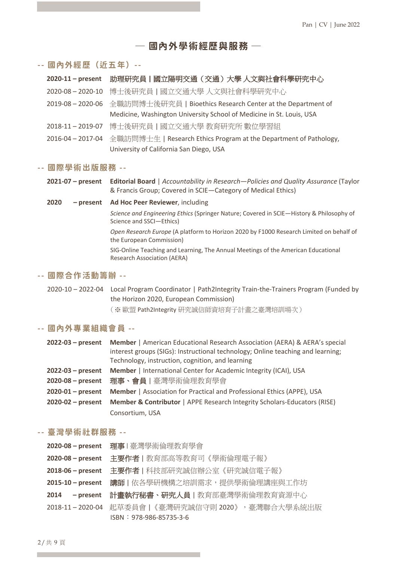## ─ 國內外學術經歷與服務 ─

### -- 國內外經歷(近五年)--

| $2020 - 11 - present$   | 助理研究員   國立陽明交通 (交通) 大學 人文與社會科學研究中心                                   |
|-------------------------|----------------------------------------------------------------------|
| $2020 - 08 - 2020 - 10$ | 博士後研究員   國立交通大學 人文與社會科學研究中心                                          |
| $2019 - 08 - 2020 - 06$ | 全職訪問博士後研究員   Bioethics Research Center at the Department of          |
|                         | Medicine, Washington University School of Medicine in St. Louis, USA |
| $2018 - 11 - 2019 - 07$ | 博士後研究員   國立交通大學 教育研究所 數位學習組                                          |
| $2016 - 04 - 2017 - 04$ | 全職訪問博士生   Research Ethics Program at the Department of Pathology,    |
|                         | University of California San Diego, USA                              |

### -- 國際學術出版服務 --

**2021-07 – present Editorial Board** | *Accountability in Research—Policies and Quality Assurance* (Taylor & Francis Group; Covered in SCIE—Category of Medical Ethics)

**2020 – present Ad Hoc Peer Reviewer**, including *Science and Engineering Ethics* (Springer Nature; Covered in SCIE—History & Philosophy of Science and SSCI—Ethics) *Open Research Europe* (A platform to Horizon 2020 by F1000 Research Limited on behalf of the European Commission) SIG-Online Teaching and Learning, The Annual Meetings of the American Educational Research Association (AERA)

### -- 國際合作活動籌辦 --

2020-10 – 2022-04 Local Program Coordinator | Path2Integrity Train-the-Trainers Program (Funded by the Horizon 2020, European Commission) (※ 歐盟 Path2Integrity 研究誠信師資培育子計畫之臺灣培訓場次)

### -- 國內外專業組織會員 --

| $2022 - 03 - present$ | <b>Member</b>   American Educational Research Association (AERA) & AERA's special          |
|-----------------------|--------------------------------------------------------------------------------------------|
|                       | interest groups (SIGs): Instructional technology; Online teaching and learning;            |
|                       | Technology, instruction, cognition, and learning                                           |
| $2022-03$ – present   | <b>Member</b>   International Center for Academic Integrity (ICAI), USA                    |
|                       | 2020-08-present 理事、會員   臺灣學術倫理教育學會                                                         |
| $2020 - 01 - present$ | <b>Member</b>   Association for Practical and Professional Ethics (APPE), USA              |
|                       | 2020-02 - present Member & Contributor   APPE Research Integrity Scholars-Educators (RISE) |
|                       | Consortium, USA                                                                            |

### -- 臺灣學術社群服務 --

| $2020-08$ – present     | 理事   臺灣學術倫理教育學會                      |
|-------------------------|--------------------------------------|
| $2020-08$ – present     | 主要作者   教育部高等教育司《學術倫理電子報》             |
| $2018-06$ – present     | 主要作者   科技部研究誠信辦公室《研究誠信電子報》           |
| $2015 - 10$ – present   | <b>講師  </b> 依各學研機構之培訓需求,提供學術倫理講座與工作坊 |
| $2014 - present$        | 計畫執行秘書、研究人員   教育部臺灣學術倫理教育資源中心        |
| $2018 - 11 - 2020 - 04$ | 起草委員會   《臺灣研究誠信守則 2020》, 臺灣聯合大學系統出版  |
|                         | ISBN: 978-986-85735-3-6              |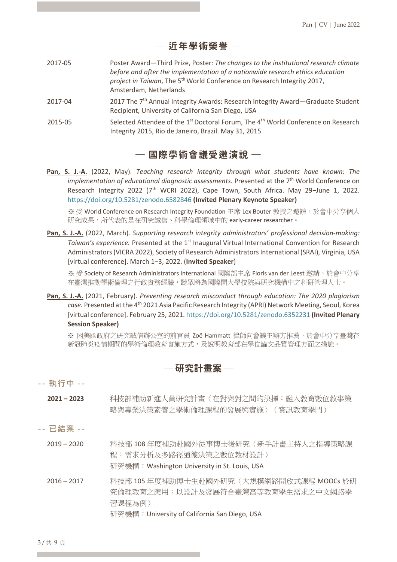### ─ 近年學術榮譽 ─

- 2017-05 Poster Award—Third Prize, Poster*: The changes to the institutional research climate before and after the implementation of a nationwide research ethics education project in Taiwan*, The 5th World Conference on Research Integrity 2017, Amsterdam, Netherlands
- 2017-04 2017 The 7<sup>th</sup> Annual Integrity Awards: Research Integrity Award—Graduate Student Recipient, University of California San Diego, USA
- 2015-05 Selected Attendee of the 1<sup>st</sup> Doctoral Forum, The 4<sup>th</sup> World Conference on Research Integrity 2015, Rio de Janeiro, Brazil. May 31, 2015

## ─ 國際學術會議受邀演說 ─

**Pan, S. J.-A.** (2022, May). *Teaching research integrity through what students have known: The implementation of educational diagnostic assessments.* Presented at the 7<sup>th</sup> World Conference on Research Integrity 2022 (7<sup>th</sup> WCRI 2022), Cape Town, South Africa. May 29-June 1, 2022. https://doi.org/10.5281/zenodo.6582846 **(Invited Plenary Keynote Speaker)**

※ 受 World Conference on Research Integrity Foundation 主席 Lex Bouter 教授之激請,於會中分享個人 研究成果,所代表的是在研究誠信、科學倫理領域中的 early-career researcher。

**Pan, S. J.-A.** (2022, March). *Supporting research integrity administrators' professional decision-making: Taiwan's experience.* Presented at the 1<sup>st</sup> Inaugural Virtual International Convention for Research Administrators (VICRA 2022), Society of Research Administrators International (SRAI), Virginia, USA [virtual conference]. March 1–3, 2022. (**Invited Speaker**)

※ 受 Society of Research Administrators International 國際部主席 Floris van der Leest 激請,於會中分享 在臺灣推動學術倫理之行政實務經驗,聽眾將為國際間大學校院與研究機構中之科研管理人士。

**Pan, S. J.-A.** (2021, February). *Preventing research misconduct through education: The 2020 plagiarism*  case. Presented at the 4<sup>th</sup> 2021 Asia Pacific Research Integrity (APRI) Network Meeting, Seoul, Korea [virtual conference]. February 25, 2021. https://doi.org/10.5281/zenodo.6352231 **(Invited Plenary Session Speaker)** 

※ 因美國政府之研究誠信辦公室的前官員 Zoë Hammatt 律師向會議主辦方推薦,於會中分享臺灣在 新冠肺炎疫情期間的學術倫理教育實施方式,及說明教育部在學位論文品質管理方面之措施。

## ─ 研究計畫案 ─

### **-- 執行中 --**

- **2021 – 2023** 科技部補助新進人員研究計畫〈在對與對之間的抉擇:融入教育數位敘事策 略與專業決策素養之學術倫理課程的發展與實施〉(資訊教育學門)
- **-- 已結案 --**
	- 2019 2020 科技部 108 年度補助赴國外從事博士後研究〈新手計畫主持人之指導策略課 程:需求分析及多路徑道德決策之數位教材設計〉 研究機構:Washington University in St. Louis, USA
	- 2016 2017 科技部 105 年度補助博士生赴國外研究〈大規模網路開放式課程 MOOCs 於研 究倫理教育之應用:以設計及發展符合臺灣高等教育學生需求之中文網路學 習課程為例〉 研究機構:University of California San Diego, USA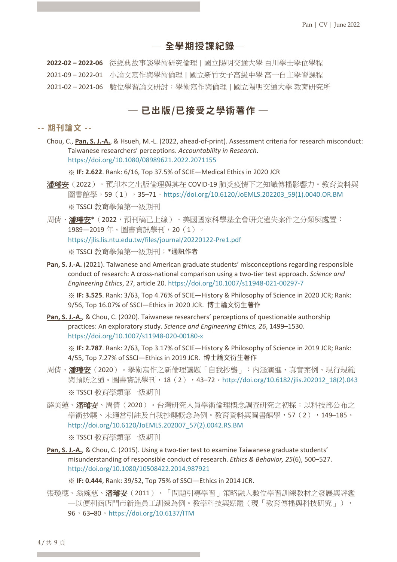### ─ 全學期授課紀錄─

**2022-02 – 2022-06** 從經典故事談學術研究倫理 | 國立陽明交通大學 百川學士學位學程

2021-09 – 2022-01 小論文寫作與學術倫理 | 國立新竹女子高級中學 高一自主學習課程

2021-02 – 2021-06 數位學習論文研討:學術寫作與倫理 | 國立陽明交通大學 教育研究所

## ─ 已出版/已接受之學術著作 ─

### -- 期刊論文 --

Chou, C., **Pan, S. J.-A.**, & Hsueh, M.-L. (2022, ahead-of-print). Assessment criteria for research misconduct: Taiwanese researchers' perceptions. *Accountability in Research*. https://doi.org/10.1080/08989621.2022.2071155

※ **IF: 2.622**. Rank: 6/16, Top 37.5% of SCIE—Medical Ethics in 2020 JCR

- 潘璿安(2022)。預印本之出版倫理與其在 COVID-19 肺炎疫情下之知識傳播影響力。教育資料與 圖書館學,59(1),35–71。https://doi.org/10.6120/JoEMLS.202203\_59(1).0040.OR.BM ※ TSSCI 教育學類第一級期刊
- 周倩、潘璿安\*(2022,預刊稿已上線)。美國國家科學基金會研究違失案件之分類與處置: 1989―2019 年。圖書資訊學刊,20(1)。 https://jlis.lis.ntu.edu.tw/files/journal/20220122-Pre1.pdf ※ TSSCI 教育學類第一級期刊; \*通訊作者
- **Pan, S. J.-A.** (2021). Taiwanese and American graduate students' misconceptions regarding responsible conduct of research: A cross-national comparison using a two-tier test approach. *Science and Engineering Ethics*, 27, article 20. https://doi.org/10.1007/s11948-021-00297-7

※ **IF: 3.525**. Rank: 3/63, Top 4.76% of SCIE—History & Philosophy of Science in 2020 JCR; Rank: 9/56, Top 16.07% of SSCI—Ethics in 2020 JCR. 博士論文衍生著作

**Pan, S. J.-A.**, & Chou, C. (2020). Taiwanese researchers' perceptions of questionable authorship practices: An exploratory study. *Science and Engineering Ethics, 26*, 1499–1530. https://doi.org/10.1007/s11948-020-00180-x

※ **IF: 2.787**. Rank: 2/63, Top 3.17% of SCIE—History & Philosophy of Science in 2019 JCR; Rank: 4/55, Top 7.27% of SSCI—Ethics in 2019 JCR. 博士論文衍生著作

- 周倩、潘璿安(2020)。學術寫作之新倫理議題「自我抄襲」:內涵演進、真實案例、現行規範 與預防之道。圖書資訊學刊,18 (2), 43–72。http://doi.org/10.6182/jlis.202012\_18(2).043 ※ TSSCI 教育學類第一級期刊
- 薛美蓮、潘璿安、周倩(2020)。台灣研究人員學術倫理概念調查研究之初探:以科技部公布之 學術抄襲、未適當引註及自我抄襲概念為例。教育資料與圖書館學,57(2),149-185。 http://doi.org/10.6120/JoEMLS.202007\_57(2).0042.RS.BM

※ TSSCI 教育學類第一級期刊

Pan, S. J.-A., & Chou, C. (2015). Using a two-tier test to examine Taiwanese graduate students' misunderstanding of responsible conduct of research. *Ethics & Behavior, 25*(6), 500–527. http://doi.org/10.1080/10508422.2014.987921

※ **IF: 0.444**, Rank: 39/52, Top 75% of SSCI—Ethics in 2014 JCR.

張瓊穗、翁婉慈、潘璿安(2011)。「問題引導學習」策略融入數位學習訓練教材之發展與評鑑 一以便利商店門市新進員工訓練為例。教學科技與媒體(現「教育傳播與科技研究」), 96, 63–80 · https://doi.org/10.6137/ITM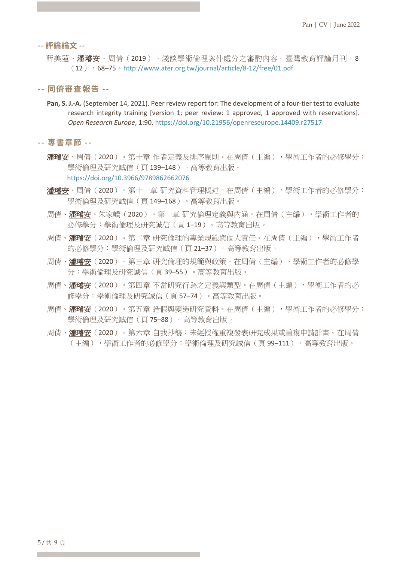-- 評論論文 --

薛美蓮、潘璿安、周倩(2019)。淺談學術倫理案件處分之審酌內容。臺灣教育評論月刊,8  $(12)$ , 68–75 · http://www.ater.org.tw/journal/article/8-12/free/01.pdf

### -- 同儕審查報告 --

**Pan, S. J.-A.** (September 14, 2021). Peer review report for: The development of a four-tier test to evaluate research integrity training [version 1; peer review: 1 approved, 1 approved with reservations]. *Open Research Europe*, 1:90. https://doi.org/10.21956/openreseurope.14409.r27517

-- 專書章節 --

- 潘璿安、周倩(2020)。第十章 作者定義及排序原則。在周倩(主編),學術工作者的必修學分: 學術倫理及研究誠信(頁 139–148)。高等教育出版。 https://doi.org/10.3966/9789862662076
- 潘璿安、周倩(2020)。第十一章 研究資料管理概述。在周倩(主編),學術工作者的必修學分: 學術倫理及研究誠信(頁 149–168)。高等教育出版。
- 周倩、**潘璿安**、朱家嶠(2020)。第一章 研究倫理定義與內涵。在周倩(主編),學術工作者的 必修學分:學術倫理及研究誠信(頁 1–19)。高等教育出版。
- 周倩、潘璿安(2020)。第二章 研究倫理的專業規範與個人責任。在周倩(主編),壆術工作者 的必修學分:學術倫理及研究誠信(頁 21–37)。高等教育出版。
- 周倩、**潘璿安**(2020)。第三章 研究倫理的規範與政策。在周倩(主編),學術工作者的必修學 分:學術倫理及研究誠信(頁 39–55)。高等教育出版。
- 周倩、潘璿安(2020)。第四章 不當研究行為之定義與類型。在周倩(主編),學術工作者的必 修學分:學術倫理及研究誠信(頁 57–74)。高等教育出版。
- 周倩、潘璿安(2020)。第五章 造假與變造研究資料。在周倩(主編),學術工作者的必修學分: 學術倫理及研究誠信(頁 75–88)。高等教育出版。
- 周倩、潘璿安(2020)。第六章 自我抄襲:未經授權重複發表研究成果或重複申請計畫。在周倩 (主編),學術工作者的必修學分:學術倫理及研究誠信(頁 99–111)。高等教育出版。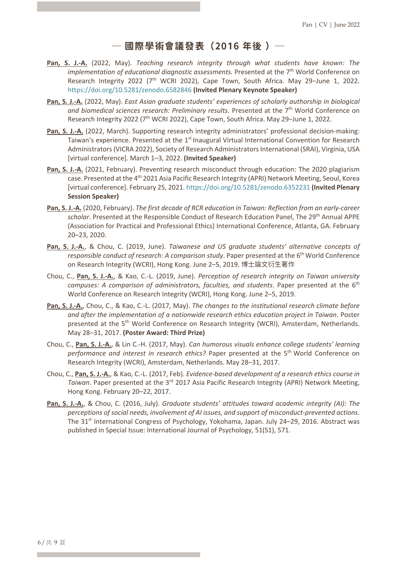## ─ 國際學術會議發表 (2016年後) ─

- **Pan, S. J.-A.** (2022, May). *Teaching research integrity through what students have known: The implementation of educational diagnostic assessments.* Presented at the 7<sup>th</sup> World Conference on Research Integrity 2022 (7<sup>th</sup> WCRI 2022), Cape Town, South Africa. May 29-June 1, 2022. https://doi.org/10.5281/zenodo.6582846 **(Invited Plenary Keynote Speaker)**
- **Pan, S. J.-A.** (2022, May). *East Asian graduate students' experiences of scholarly authorship in biological and biomedical sciences research: Preliminary results.* Presented at the 7th World Conference on Research Integrity 2022 (7<sup>th</sup> WCRI 2022), Cape Town, South Africa. May 29-June 1, 2022.
- **Pan, S. J.-A.** (2022, March). Supporting research integrity administrators' professional decision-making: Taiwan's experience. Presented at the 1<sup>st</sup> Inaugural Virtual International Convention for Research Administrators (VICRA 2022), Society of Research Administrators International (SRAI), Virginia, USA [virtual conference]. March 1–3, 2022. **(Invited Speaker)**
- **Pan, S. J.-A.** (2021, February). Preventing research misconduct through education: The 2020 plagiarism case. Presented at the 4<sup>th</sup> 2021 Asia Pacific Research Integrity (APRI) Network Meeting, Seoul, Korea [virtual conference]. February 25, 2021. https://doi.org/10.5281/zenodo.6352231 **(Invited Plenary Session Speaker)**
- **Pan, S. J.-A.** (2020, February). *The first decade of RCR education in Taiwan: Reflection from an early-career scholar*. Presented at the Responsible Conduct of Research Education Panel, The 29<sup>th</sup> Annual APPE (Association for Practical and Professional Ethics) International Conference, Atlanta, GA. February 20–23, 2020.
- **Pan, S. J.-A.**, & Chou, C. (2019, June). *Taiwanese and US graduate students' alternative concepts of responsible conduct of research: A comparison study*. Paper presented at the 6<sup>th</sup> World Conference on Research Integrity (WCRI), Hong Kong. June 2–5, 2019. 博士論文衍生著作
- Chou, C., **Pan, S. J.-A.**, & Kao, C.-L. (2019, June). *Perception of research integrity on Taiwan university campuses: A comparison of administrators, faculties, and students*. Paper presented at the 6<sup>th</sup> World Conference on Research Integrity (WCRI), Hong Kong. June 2–5, 2019.
- **Pan, S. J.-A.**, Chou, C., & Kao, C.-L. (2017, May). *The changes to the institutional research climate before and after the implementation of a nationwide research ethics education project in Taiwan*. Poster presented at the 5<sup>th</sup> World Conference on Research Integrity (WCRI), Amsterdam, Netherlands. May 28–31, 2017. **(Poster Award: Third Prize)**
- Chou, C., **Pan, S. J.-A.**, & Lin C.-H. (2017, May). *Can humorous visuals enhance college students' learning performance and interest in research ethics?* Paper presented at the 5<sup>th</sup> World Conference on Research Integrity (WCRI), Amsterdam, Netherlands. May 28–31, 2017.
- Chou, C., **Pan, S. J.-A.**, & Kao, C.-L. (2017, Feb). *Evidence-based development of a research ethics course in*  Taiwan. Paper presented at the 3<sup>rd</sup> 2017 Asia Pacific Research Integrity (APRI) Network Meeting, Hong Kong. February 20–22, 2017.
- **Pan, S. J.-A.**, & Chou, C. (2016, July). *Graduate students' attitudes toward academic integrity (AI): The perceptions of social needs, involvement of AI issues, and support of misconduct-prevented actions*. The 31<sup>st</sup> International Congress of Psychology, Yokohama, Japan. July 24–29, 2016. Abstract was published in Special Issue: International Journal of Psychology, 51(S1), 571.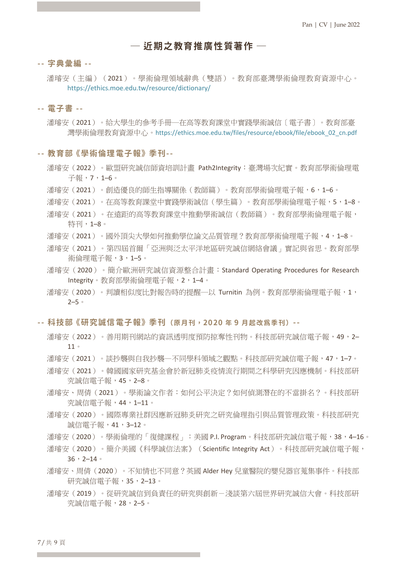### ─ 近期之教育推廣性質著作 ─

### -- 字典彙編 --

潘璿安(主編)(2021)。學術倫理領域辭典(雙語)。教育部臺灣學術倫理教育資源中心。 https://ethics.moe.edu.tw/resource/dictionary/

### -- 電子書 --

潘璿安(2021)。給大學生的參考手冊─在高等教育課堂中實踐學術誠信〔電子書〕。教育部臺 灣學術倫理教育資源中心。https://ethics.moe.edu.tw/files/resource/ebook/file/ebook\_02\_cn.pdf

### -- 教育部 《學術倫理電子報》 季刊--

- 潘璿安(2022)。歐盟研究誠信師資培訓計畫 Path2Integrity:臺灣場次紀實。教育部學術倫理電 子報,7,1–6。
- 潘璿安(2021)。創造優良的師生指導關係(教師篇)。教育部學術倫理電子報,6,1–6。
- 潘璿安(2021)。在高等教育課堂中實踐學術誠信(學生篇)。教育部學術倫理電子報,5,1–8。
- 潘璿安(2021)。在遠距的高等教育課堂中推動學術誠信(教師篇)。教育部學術倫理電子報, 特刊,1–8。
- 潘璿安(2021)。國外頂尖大學如何推動學位論文品質管理?教育部學術倫理電子報,4,1–8。
- 潘璿安(2021)。第四屆首爾「亞洲與泛太平洋地區研究誠信網絡會議」實記與省思。教育部學 術倫理電子報,3,1–5。
- 潘璿安(2020)。簡介歐洲研究誠信資源整合計畫:Standard Operating Procedures for Research Integrity。教育部學術倫理電子報,2,1–4。
- 潘璿安(2020)。判讀相似度比對報告時的提醒─以 Turnitin 為例。教育部學術倫理電子報,1,  $2 - 5$

### -- 科技部《研究誠信電子報》 季刊 (原月刊, 2020 年 9 月起改為季刊) --

- 潘璿安(2022)。善用期刊網站的資訊透明度預防掠奪性刊物。科技部研究誠信電子報,49,2– 11。
- 潘璿安(2021)。談抄襲與自我抄襲—不同學科領域之觀點。科技部研究誠信電子報,47,1-7。
- 潘璿安(2021)。韓國國家研究基金會於新冠肺炎疫情流行期間之科學研究因應機制。科技部研 究誠信電子報,45,2–8。
- 潘璿安、周倩(2021)。學術論文作者:如何公平決定?如何偵測潛在的不當掛名?。科技部研 究誠信電子報,44,1–11。
- 潘璿安(2020)。國際專業社群因應新冠肺炎研究之研究倫理指引與品質管理政策。科技部研究 誠信電子報,41,3–12。
- 潘璿安 (2020) 。學術倫理的「復健課程」:美國 P.I. Program。科技部研究誠信電子報, 38, 4-16。
- 潘璿安(2020)。簡介美國《科學誠信法案》(Scientific Integrity Act)。科技部研究誠信電子報,  $36, 2-14$
- 潘璿安、周倩(2020)。不知情也不同意?英國 Alder Hey 兒童醫院的嬰兒器官蒐集事件。科技部 研究誠信電子報,35,2-13。
- 潘璿安(2019)。從研究誠信到負責任的研究與創新-淺談第六屆世界研究誠信大會。科技部研 究誠信電子報,28,2–5。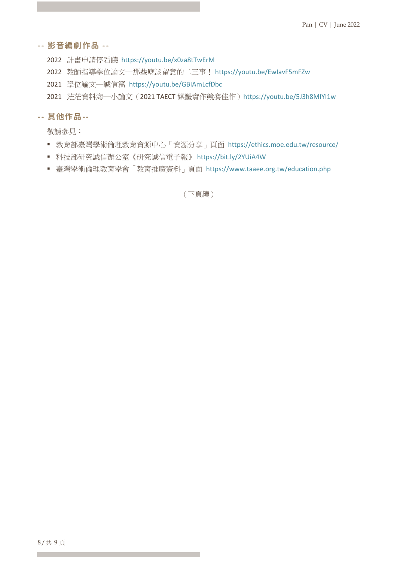### -- 影音編劇作品 --

2022 計畫申請停看聽 https://youtu.be/x0za8tTwErM

- 2022 教師指導學位論文─那些應該留意的二三事! https://youtu.be/EwIavF5mFZw
- 2021 學位論文─誠信篇 https://youtu.be/GBIAmLcfDbc
- 2021 茫茫資料海─小論文(2021 TAECT 媒體實作競賽佳作)https://youtu.be/5J3h8MIYI1w

### -- 其他作品--

敬請參見:

- 教育部臺灣學術倫理教育資源中心「資源分享」頁面 https://ethics.moe.edu.tw/resource/
- § 科技部研究誠信辦公室《研究誠信電子報》 https://bit.ly/2YUiA4W
- 臺灣學術倫理教育學會「教育推廣資料」頁面 https://www.taaee.org.tw/education.php

(下頁續)